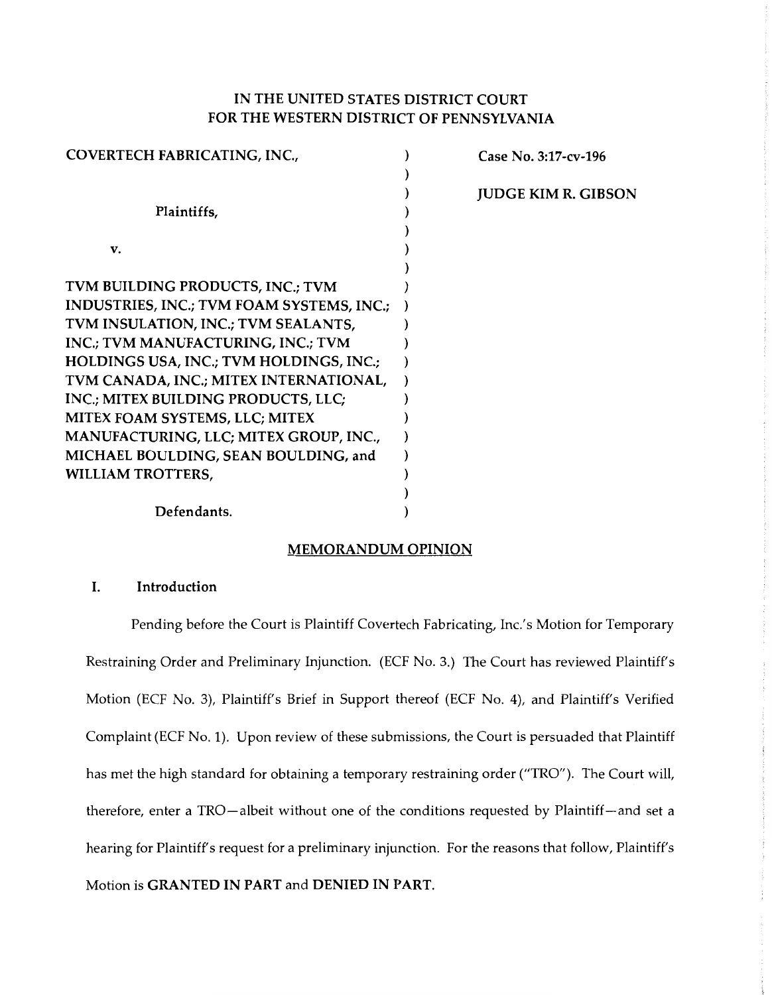# IN THE UNITED STATES DISTRICT COURT FOR THE WESTERN DISTRICT OF PENNSYLVANIA

| COVERTECH FABRICATING, INC.,              | Case No. 3:17-cv-196       |
|-------------------------------------------|----------------------------|
|                                           |                            |
|                                           | <b>JUDGE KIM R. GIBSON</b> |
| Plaintiffs,                               |                            |
|                                           |                            |
| v.                                        |                            |
|                                           |                            |
| TVM BUILDING PRODUCTS, INC.; TVM          |                            |
| INDUSTRIES, INC.; TVM FOAM SYSTEMS, INC.; |                            |
| TVM INSULATION, INC.; TVM SEALANTS,       |                            |
| INC.; TVM MANUFACTURING, INC.; TVM        |                            |
| HOLDINGS USA, INC.; TVM HOLDINGS, INC.;   |                            |
| TVM CANADA, INC.; MITEX INTERNATIONAL,    |                            |
| INC.; MITEX BUILDING PRODUCTS, LLC;       |                            |
| MITEX FOAM SYSTEMS, LLC; MITEX            |                            |
| MANUFACTURING, LLC; MITEX GROUP, INC.,    |                            |
| MICHAEL BOULDING, SEAN BOULDING, and      |                            |
| WILLIAM TROTTERS,                         |                            |
|                                           |                            |
| Defendants.                               |                            |

### MEMORANDUM OPINION

### I. Introduction

Pending before the Court is Plaintiff Covertech Fabricating, Inc.'s Motion for Temporary Restraining Order and Preliminary Injunction. (ECF No. 3.) The Court has reviewed Plaintiff's Motion (ECF No. 3), Plaintiff's Brief in Support thereof (ECF No. 4), and Plaintiff's Verified Complaint (ECF No. 1). Upon review of these submissions, the Court is persuaded that Plaintiff has met the high standard for obtaining a temporary restraining order ("TRO"). The Court will, therefore, enter a TRO-albeit without one of the conditions requested by Plaintiff-and set a hearing for Plaintiff's request for a preliminary injunction. For the reasons that follow, Plaintiff's Motion is GRANTED IN PART and DENIED IN PART.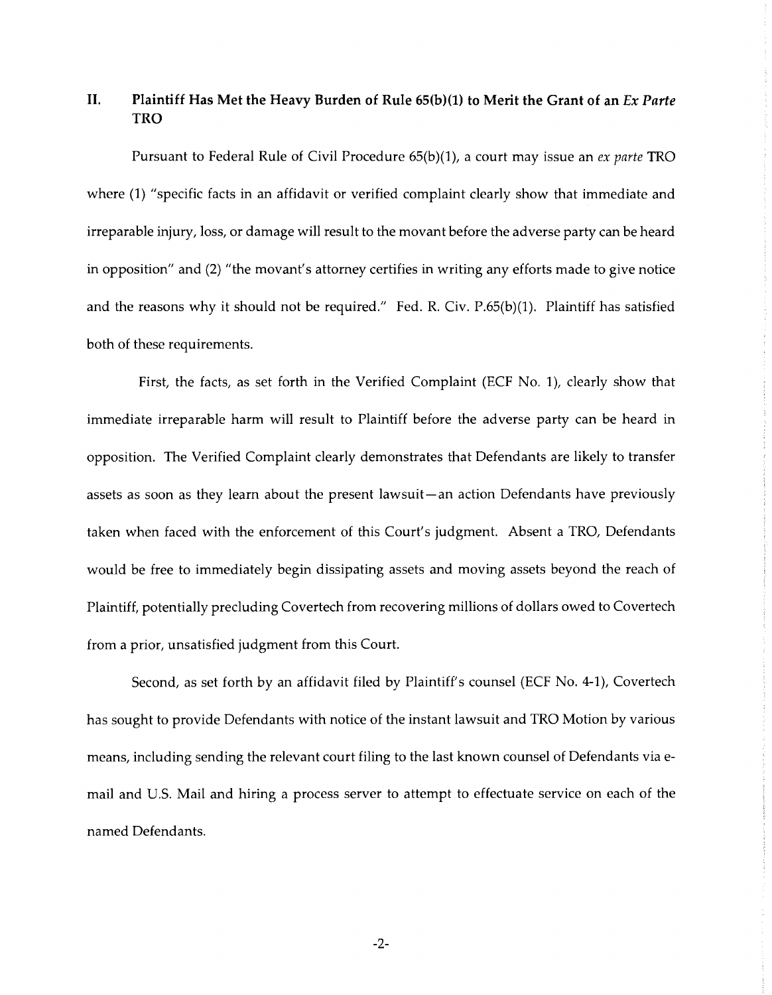# **II.** Plaintiff Has Met the Heavy Burden of Rule 65(b)(1) to Merit the Grant of an *Ex Parte* **TRO**

Pursuant to Federal Rule of Civil Procedure 65(b)(l), a court may issue an *ex parte* TRO where (1) "specific facts in an affidavit or verified complaint clearly show that immediate and irreparable injury, loss, or damage will result to the movant before the adverse party can be heard in opposition" and (2) "the movant's attorney certifies in writing any efforts made to give notice and the reasons why it should not be required." Fed. R. Civ. P.65(b)(1). Plaintiff has satisfied both of these requirements.

First, the facts, as set forth in the Verified Complaint (ECF No. 1), clearly show that immediate irreparable harm will result to Plaintiff before the adverse party can be heard in opposition. The Verified Complaint clearly demonstrates that Defendants are likely to transfer assets as soon as they learn about the present lawsuit-an action Defendants have previously taken when faced with the enforcement of this Court's judgment. Absent a TRO, Defendants would be free to immediately begin dissipating assets and moving assets beyond the reach of Plaintiff, potentially precluding Covertech from recovering millions of dollars owed to Covertech from a prior, unsatisfied judgment from this Court.

Second, as set forth by an affidavit filed by Plaintiff's counsel (ECF No. 4-1), Covertech has sought to provide Defendants with notice of the instant lawsuit and TRO Motion by various means, including sending the relevant court filing to the last known counsel of Defendants via email and U.S. Mail and hiring a process server to attempt to effectuate service on each of the named Defendants.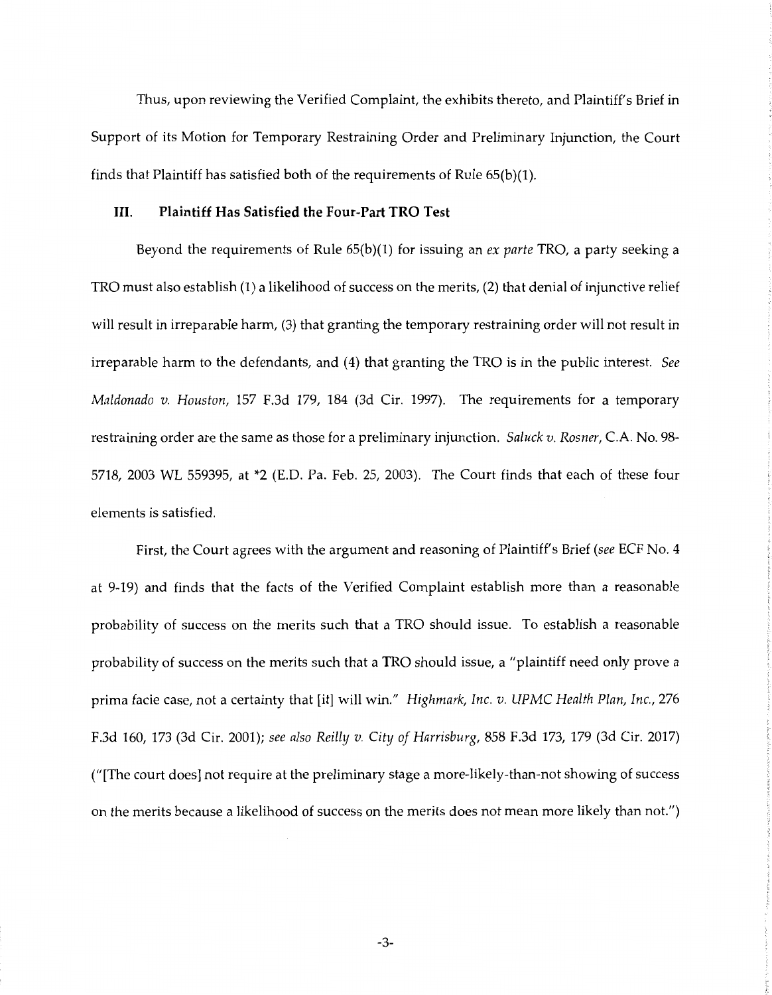Thus, upon reviewing the Verified Complaint, the exhibits thereto, and Plaintiff's Brief in Support of its Motion for Temporary Restraining Order and Preliminary Injunction, the Court finds that Plaintiff has satisfied both of the requirements of Rule 65(b)(l).

#### **III. Plaintiff Has Satisfied the Four-Part TRO Test**

Beyond the requirements of Rule 65(b)(l) for issuing an *ex parte* TRO, a party seeking a TRO must also establish (1) a likelihood of success on the merits, (2) that denial of injunctive relief will result in irreparable harm, (3) that granting the temporary restraining order will not result in irreparable harm to the defendants, and (4) that granting the TRO is in the public interest. *See Maldonado v. Houston,* 157 F.3d 179, 184 (3d Cir. 1997). The requirements for a temporary restraining order are the same as those for a preliminary injunction. *Saluck v. Rosner,* C.A. No. 98- 5718, 2003 WL 559395, at \*2 (E.D. Pa. Feb. 25, 2003). The Court finds that each of these four elements is satisfied.

First, the Court agrees with the argument and reasoning of Plaintiff's Brief *(see* ECF No. 4 at 9-19) and finds that the facts of the Verified Complaint establish more than a reasonable probability of success on the merits such that a TRO should issue. To establish a reasonable probability of success on the merits such that a TRO should issue, a "plaintiff need only prove a prima facie case, not a certainty that [it] will win." *Highmark, Inc. v. UPMC Health Plan, Inc.,* 276 F.3d 160, 173 (3d Cir. 2001); *see also Reilly v. City of Harrisburg,* 858 F.3d 173, 179 (3d Cir. 2017) ("[The court does] not require at the preliminary stage a more-likely-than-not showing of success on the merits because a likelihood of success on the merits does not mean more likely than not.")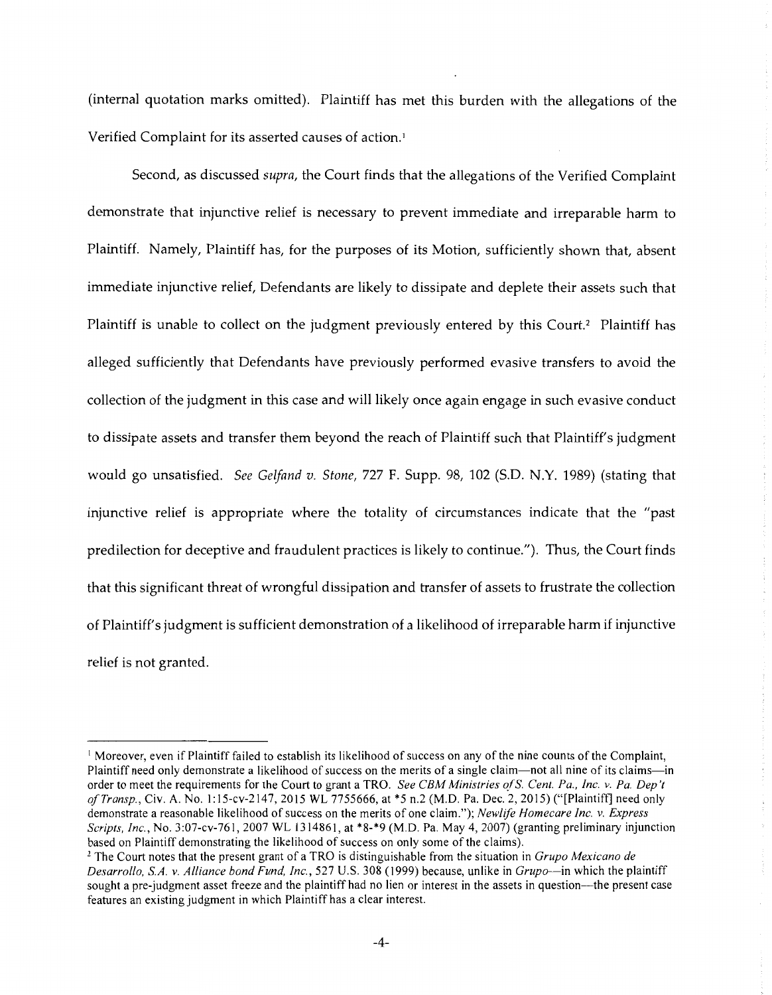(internal quotation marks omitted). Plaintiff has met this burden with the allegations of the Verified Complaint for its asserted causes of action.<sup>1</sup>

Second, as discussed *supra,* the Court finds that the allegations of the Verified Complaint demonstrate that injunctive relief is necessary to prevent immediate and irreparable harm to Plaintiff. Namely, Plaintiff has, for the purposes of its Motion, sufficiently shown that, absent immediate injunctive relief, Defendants are likely to dissipate and deplete their assets such that Plaintiff is unable to collect on the judgment previously entered by this Court.<sup>2</sup> Plaintiff has alleged sufficiently that Defendants have previously performed evasive transfers to avoid the collection of the judgment in this case and will likely once again engage in such evasive conduct to dissipate assets and transfer them beyond the reach of Plaintiff such that Plaintiff's judgment would go unsatisfied. *See Gelfand v. Stone,* 727 F. Supp. 98, 102 (S.D. N.Y. 1989) (stating that injunctive relief is appropriate where the totality of circumstances indicate that the "past predilection for deceptive and fraudulent practices is likely to continue."). Thus, the Court finds that this significant threat of wrongful dissipation and transfer of assets to frustrate the collection of Plaintiff's judgment is sufficient demonstration of a likelihood of irreparable harm if injunctive relief is not granted.

<sup>&</sup>lt;sup>1</sup> Moreover, even if Plaintiff failed to establish its likelihood of success on any of the nine counts of the Complaint, Plaintiff need only demonstrate a likelihood of success on the merits of a single claim---not all nine of its claims---in order to meet the requirements for the Court to grant a TRO. *See CBM Ministries of* S. *Cent. Pa., Inc. v. Pa. Dep 't of Transp., Civ. A. No. 1:15-cv-2147, 2015 WL 7755666, at* \*5 n.2 (M.D. Pa. Dec. 2, 2015) ("[Plaintiff] need only demonstrate a reasonable likelihood of success on the merits of one claim."); *Newlife Homecare Inc. v. Express Scripts, Inc.,* No. 3:07-cv-76 I, 2007 WL 1314861, at \*8-\*9 (M.D. Pa. May 4, 2007) (granting preliminary injunction based on Plaintiff demonstrating the likelihood of success on only some of the claims). 2 The Court notes that the present grant of a TRO is distinguishable from the situation in *Grupo Mexicano de* 

*Desarrollo, SA. v. Alliance bond Fund, Inc.,* 527 U.S. 308 (I 999) because, unlike in *Grupo-in* which the plaintiff sought a pre-judgment asset freeze and the plaintiff had no lien or interest in the assets in question---the present case features an existing judgment in which Plaintiff has a clear interest.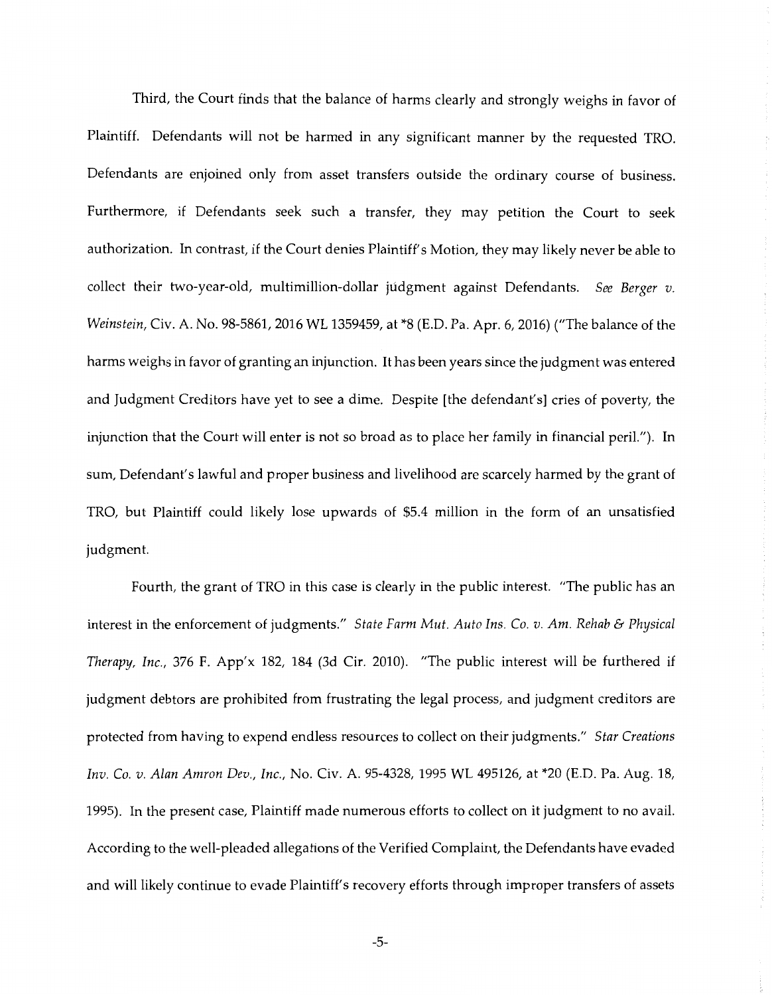Third, the Court finds that the balance of harms clearly and strongly weighs in favor of Plaintiff. Defendants will not be harmed in any significant manner by the requested TRO. Defendants are enjoined only from asset transfers outside the ordinary course of business. Furthermore, if Defendants seek such a transfer, they may petition the Court to seek authorization. In contrast, if the Court denies Plaintiff's Motion, they may likely never be able to collect their two-year-old, multimillion-dollar judgment against Defendants. *See Berger v. Weinstein,* Civ. A. No. 98-5861, 2016 WL 1359459, at \*8 (E.D. Pa. Apr. 6, 2016) ("The balance of the harms weighs in favor of granting an injunction. It has been years since the judgment was entered and Judgment Creditors have yet to see a dime. Despite [the defendant's] cries of poverty, the injunction that the Court will enter is not so broad as to place her family in financial peril."). In sum, Defendant's lawful and proper business and livelihood are scarcely harmed by the grant of TRO, but Plaintiff could likely lose upwards of \$5.4 million in the form of an unsatisfied judgment.

Fourth, the grant of TRO in this case is clearly in the public interest. "The public has an interest in the enforcement of judgments." *State Farm Mut. Auto Ins. Co. v. Am. Rehab* & *Physical Therapy, Inc.,* 376 F. App'x 182, 184 (3d Cir. 2010). "The public interest will be furthered if judgment debtors are prohibited from frustrating the legal process, and judgment creditors are protected from having to expend endless resources to collect on their judgments." *Star Creations Inv. Co. v. Alan Amron Dev., Inc.,* No. Civ. A. 95-4328, 1995 WL 495126, at \*20 (E.D. Pa. Aug. 18, 1995). In the present case, Plaintiff made numerous efforts to collect on it judgment to no avail. According to the well-pleaded allegations of the Verified Complaint, the Defendants have evaded and will likely continue to evade Plaintiff's recovery efforts through improper transfers of assets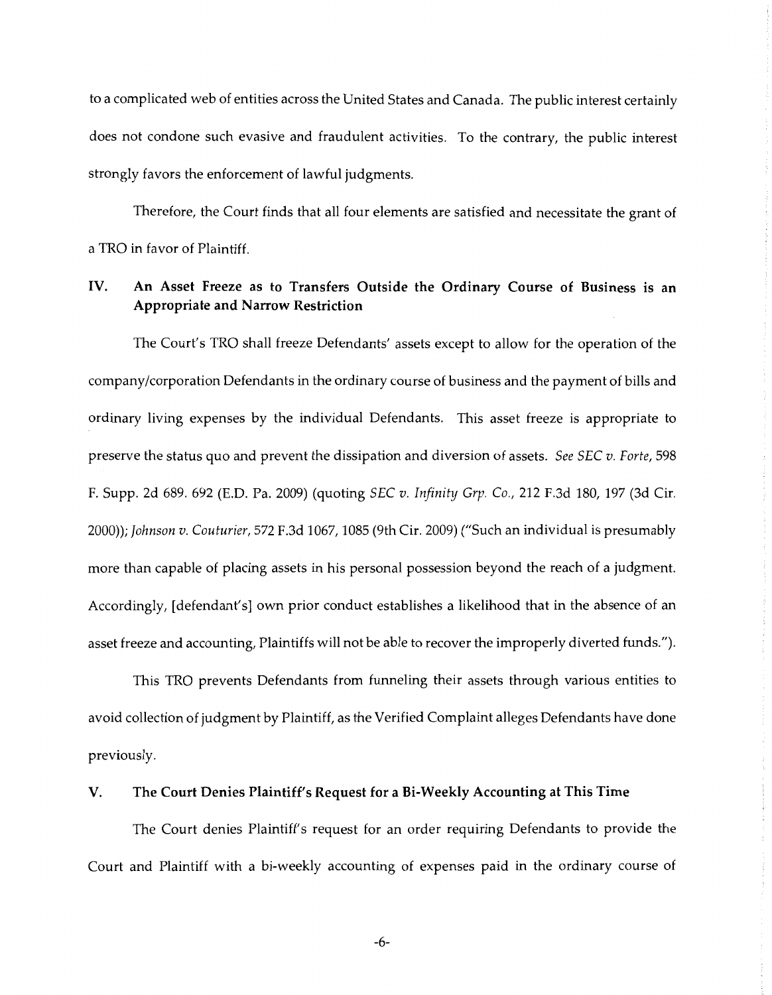to a complicated web of entities across the United States and Canada. The public interest certainly does not condone such evasive and fraudulent activities. To the contrary, the public interest strongly favors the enforcement of lawful judgments.

Therefore, the Court finds that all four elements are satisfied and necessitate the grant of a TRO in favor of Plaintiff.

## IV. **An Asset Freeze as to Transfers Outside the Ordinary Course of Business is an Appropriate and Narrow Restriction**

The Court's TRO shall freeze Defendants' assets except to allow for the operation of the company /corporation Defendants in the ordinary course of business and the payment of bills and ordinary living expenses by the individual Defendants. This asset freeze is appropriate to preserve the status quo and prevent the dissipation and diversion of assets. *See SEC v. Forte,* 598 F. Supp. 2d 689. 692 (E.D. Pa. 2009) (quoting *SEC v. Infinity Grp. Co.,* 212 F.3d 180, 197 (3d Cir. 2000)); *Johnson v. Couturier,* 572 F.3d 1067, 1085 (9th Cir. 2009) ("Such an individual is presumably more than capable of placing assets in his personal possession beyond the reach of a judgment. Accordingly, [defendant's] own prior conduct establishes a likelihood that in the absence of an asset freeze and accounting, Plaintiffs will not be able to recover the improperly diverted funds.").

This TRO prevents Defendants from funneling their assets through various entities to avoid collection of judgment by Plaintiff, as the Verified Complaint alleges Defendants have done previously.

#### **V. The Court Denies Plaintiff's Request for a Bi-Weekly Accounting at This Time**

The Court denies Plaintiff's request for an order requiring Defendants to provide the Court and Plaintiff with a bi-weekly accounting of expenses paid in the ordinary course of

-6-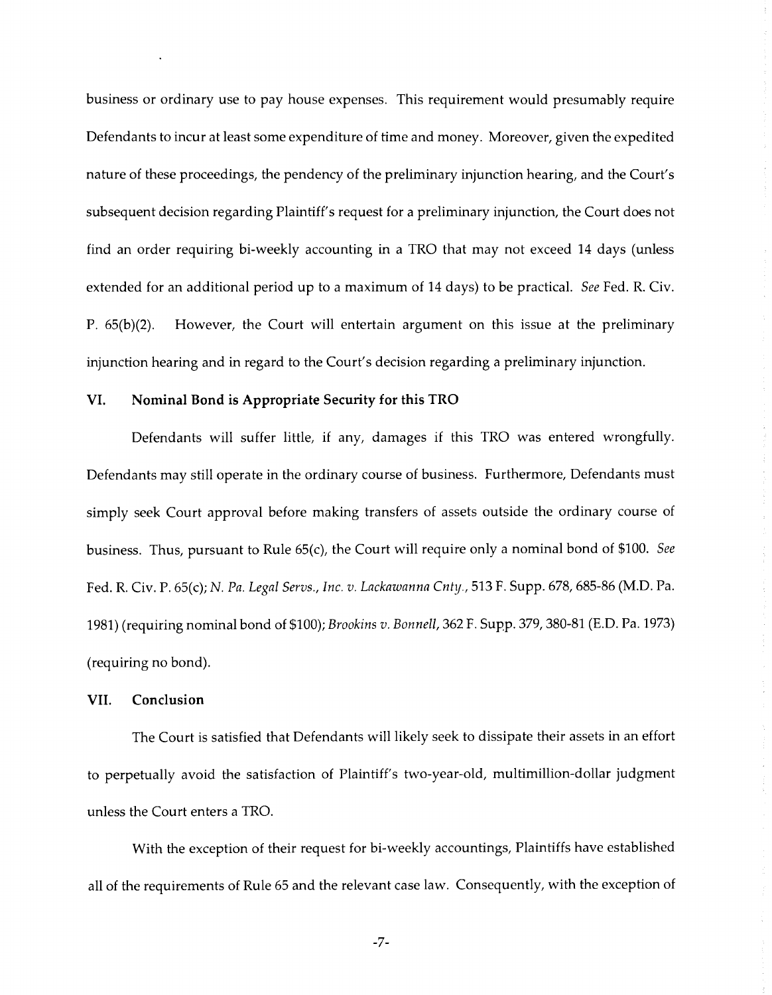business or ordinary use to pay house expenses. This requirement would presumably require Defendants to incur at least some expenditure of time and money. Moreover, given the expedited nature of these proceedings, the pendency of the preliminary injunction hearing, and the Court's subsequent decision regarding Plaintiff's request for a preliminary injunction, the Court does not find an order requiring bi-weekly accounting in a TRO that may not exceed 14 days (unless extended for an additional period up to a maximum of 14 days) to be practical. *See* Fed. R. Civ. P. 65(b)(2). However, the Court will entertain argument on this issue at the preliminary injunction hearing and in regard to the Court's decision regarding a preliminary injunction.

#### **VI. Nominal Bond is Appropriate Security for this TRO**

Defendants will suffer little, if any, damages if this TRO was entered wrongfully. Defendants may still operate in the ordinary course of business. Furthermore, Defendants must simply seek Court approval before making transfers of assets outside the ordinary course of business. Thus, pursuant to Rule 65(c), the Court will require only a nominal bond of \$100. *See*  Fed. R. Civ. P. 65(c); *N. Pa. Legal Servs., Inc. v. Lackawanna Cnty.,* 513 F. Supp. 678, 685-86 (M.D. Pa. 1981) (requiring nominal bond of \$100); *Brookins v. Bonnell,* 362 F. Supp. 379, 380-81 (E.D. Pa. 1973) (requiring no bond).

#### **VII. Conclusion**

The Court is satisfied that Defendants will likely seek to dissipate their assets in an effort to perpetually avoid the satisfaction of Plaintiff's two-year-old, multimillion-dollar judgment unless the Court enters a TRO.

With the exception of their request for bi-weekly accountings, Plaintiffs have established all of the requirements of Rule 65 and the relevant case law. Consequently, with the exception of

-7-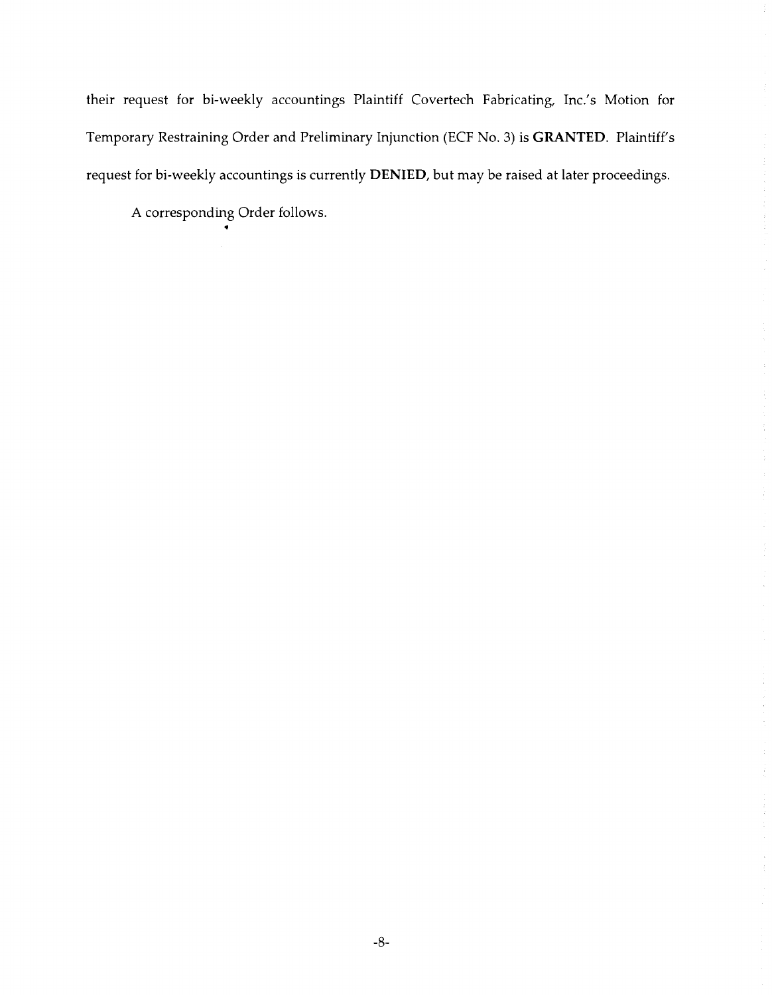their request for bi-weekly accountings Plaintiff Covertech Fabricating, Inc.'s Motion for Temporary Restraining Order and Preliminary Injunction (ECF No. 3) is **GRANTED.** Plaintiff's request for bi-weekly accountings is currently **DENIED,** but may be raised at later proceedings.

 $\frac{1}{\lambda}$ 

A corresponding Order follows.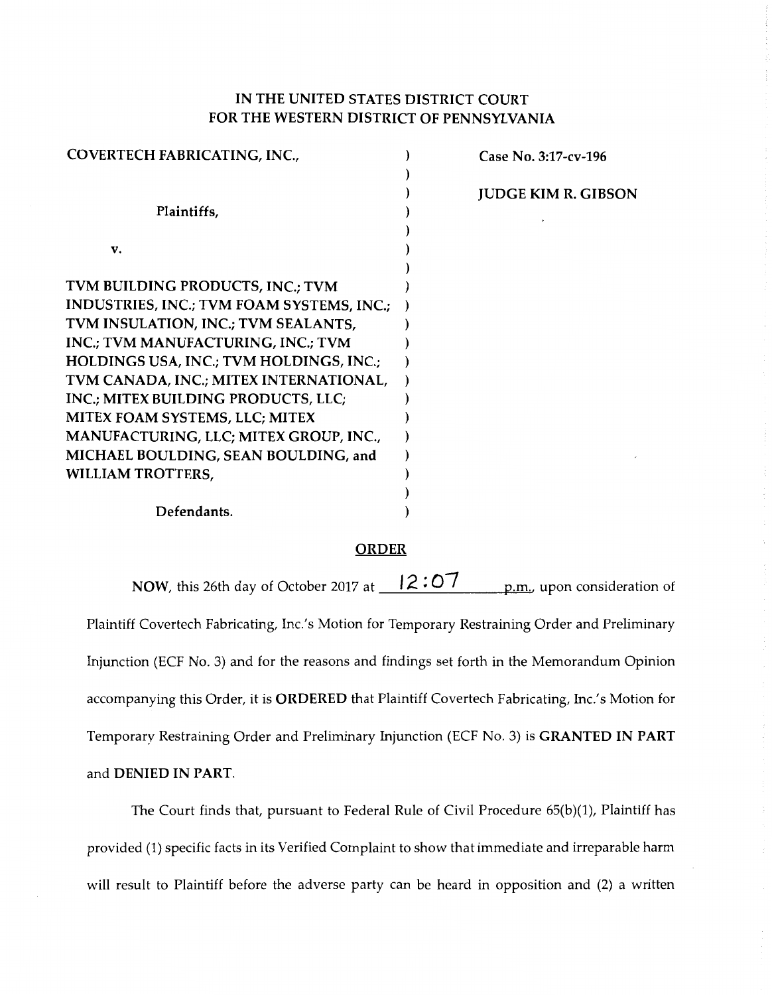# IN THE UNITED STATES DISTRICT COURT FOR THE WESTERN DISTRICT OF PENNSYLVANIA

| COVERTECH FABRICATING, INC.,              | Case No. 3:17-cv-196       |
|-------------------------------------------|----------------------------|
|                                           |                            |
|                                           | <b>JUDGE KIM R. GIBSON</b> |
| Plaintiffs,                               |                            |
|                                           |                            |
| v.                                        |                            |
|                                           |                            |
| TVM BUILDING PRODUCTS, INC.; TVM          |                            |
| INDUSTRIES, INC.; TVM FOAM SYSTEMS, INC.; |                            |
| TVM INSULATION, INC.; TVM SEALANTS,       |                            |
| INC.; TVM MANUFACTURING, INC.; TVM        |                            |
| HOLDINGS USA, INC.; TVM HOLDINGS, INC.;   |                            |
| TVM CANADA, INC.; MITEX INTERNATIONAL,    |                            |
| INC.; MITEX BUILDING PRODUCTS, LLC;       |                            |
| MITEX FOAM SYSTEMS, LLC; MITEX            |                            |
| MANUFACTURING, LLC; MITEX GROUP, INC.,    |                            |
| MICHAEL BOULDING, SEAN BOULDING, and      |                            |
| WILLIAM TROTTERS,                         |                            |
|                                           |                            |
| Defendants.                               |                            |

### ORDER

NOW, this 26th day of October 2017 at  $\frac{12.07}{\text{mm}}$  p.m., upon consideration of Plaintiff Covertech Fabricating, Inc.'s Motion for Temporary Restraining Order and Preliminary Injunction (ECF No. 3) and for the reasons and findings set forth in the Memorandum Opinion accompanying this Order, it is ORDERED that Plaintiff Covertech Fabricating, Inc.'s Motion for Temporary Restraining Order and Preliminary Injunction (ECF No. 3) is GRANTED IN PART and DENIED IN PART.

The Court finds that, pursuant to Federal Rule of Civil Procedure 65(b)(1), Plaintiff has provided (1) specific facts in its Verified Complaint to show that immediate and irreparable harm will result to Plaintiff before the adverse party can be heard in opposition and (2) a written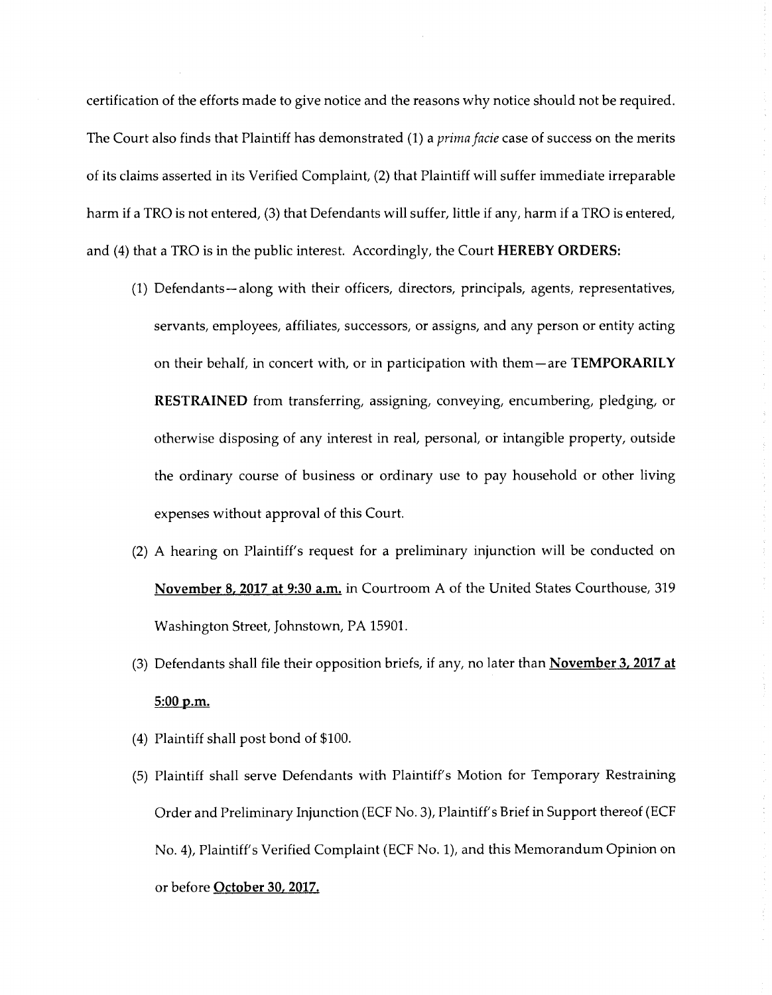certification of the efforts made to give notice and the reasons why notice should not be required. The Court also finds that Plaintiff has demonstrated (1) a *prima Jacie* case of success on the merits of its claims asserted in its Verified Complaint, (2) that Plaintiff will suffer immediate irreparable harm if a TRO is not entered, (3) that Defendants will suffer, little if any, harm if a TRO is entered, and (4) that a TRO is in the public interest. Accordingly, the Court **HEREBY ORDERS:** 

- (1) Defendants-along with their officers, directors, principals, agents, representatives, servants, employees, affiliates, successors, or assigns, and any person or entity acting on their behalf, in concert with, or in participation with them-are **TEMPORARILY RESTRAINED** from transferring, assigning, conveying, encumbering, pledging, or otherwise disposing of any interest in real, personal, or intangible property, outside the ordinary course of business or ordinary use to pay household or other living expenses without approval of this Court.
- (2) A hearing on Plaintiff's request for a preliminary injunction will be conducted on **November 8, 2017 at 9:30 a.m.** in Courtroom A of the United States Courthouse, 319 Washington Street, Johnstown, PA 15901.
- (3) Defendants shall file their opposition briefs, if any, no later than **November 3, 2017 at 5:00 p.m.**
- (4) Plaintiff shall post bond of \$100.
- (5) Plaintiff shall serve Defendants with Plaintiff's Motion for Temporary Restraining Order and Preliminary Injunction (ECF No. 3), Plaintiff's Brief in Support thereof (ECF No. 4), Plaintiff's Verified Complaint (ECF No. 1), and this Memorandum Opinion on or before **October 30, 2017.**